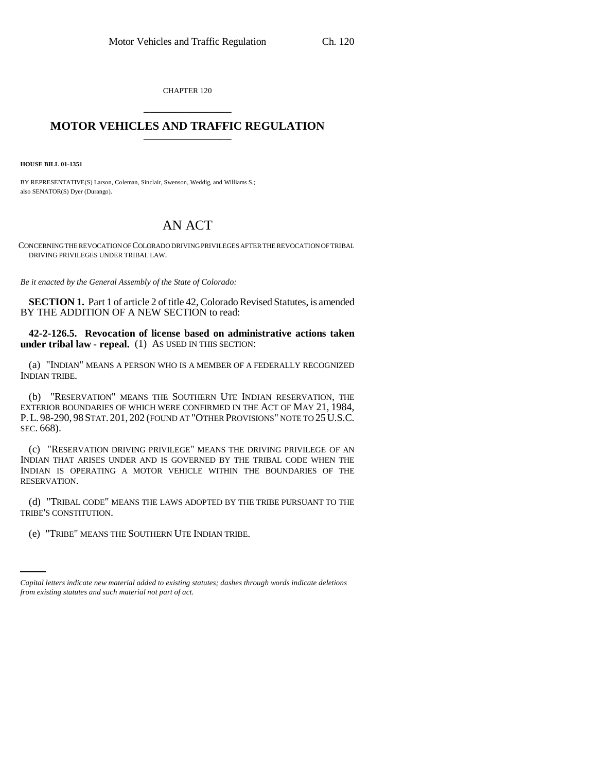CHAPTER 120 \_\_\_\_\_\_\_\_\_\_\_\_\_\_\_

## **MOTOR VEHICLES AND TRAFFIC REGULATION** \_\_\_\_\_\_\_\_\_\_\_\_\_\_\_

**HOUSE BILL 01-1351**

BY REPRESENTATIVE(S) Larson, Coleman, Sinclair, Swenson, Weddig, and Williams S.; also SENATOR(S) Dyer (Durango).

## AN ACT

CONCERNING THE REVOCATION OF COLORADO DRIVING PRIVILEGES AFTER THE REVOCATION OF TRIBAL DRIVING PRIVILEGES UNDER TRIBAL LAW.

*Be it enacted by the General Assembly of the State of Colorado:*

**SECTION 1.** Part 1 of article 2 of title 42, Colorado Revised Statutes, is amended BY THE ADDITION OF A NEW SECTION to read:

**42-2-126.5. Revocation of license based on administrative actions taken under tribal law - repeal.** (1) AS USED IN THIS SECTION:

(a) "INDIAN" MEANS A PERSON WHO IS A MEMBER OF A FEDERALLY RECOGNIZED INDIAN TRIBE.

(b) "RESERVATION" MEANS THE SOUTHERN UTE INDIAN RESERVATION, THE EXTERIOR BOUNDARIES OF WHICH WERE CONFIRMED IN THE ACT OF MAY 21, 1984, P.L. 98-290, 98 STAT. 201, 202 (FOUND AT "OTHER PROVISIONS" NOTE TO 25 U.S.C. SEC. 668).

(c) "RESERVATION DRIVING PRIVILEGE" MEANS THE DRIVING PRIVILEGE OF AN INDIAN THAT ARISES UNDER AND IS GOVERNED BY THE TRIBAL CODE WHEN THE INDIAN IS OPERATING A MOTOR VEHICLE WITHIN THE BOUNDARIES OF THE RESERVATION.

(d) "TRIBAL CODE" MEANS THE LAWS ADOPTED BY THE TRIBE PURSUANT TO THE TRIBE'S CONSTITUTION.

(e) "TRIBE" MEANS THE SOUTHERN UTE INDIAN TRIBE.

*Capital letters indicate new material added to existing statutes; dashes through words indicate deletions from existing statutes and such material not part of act.*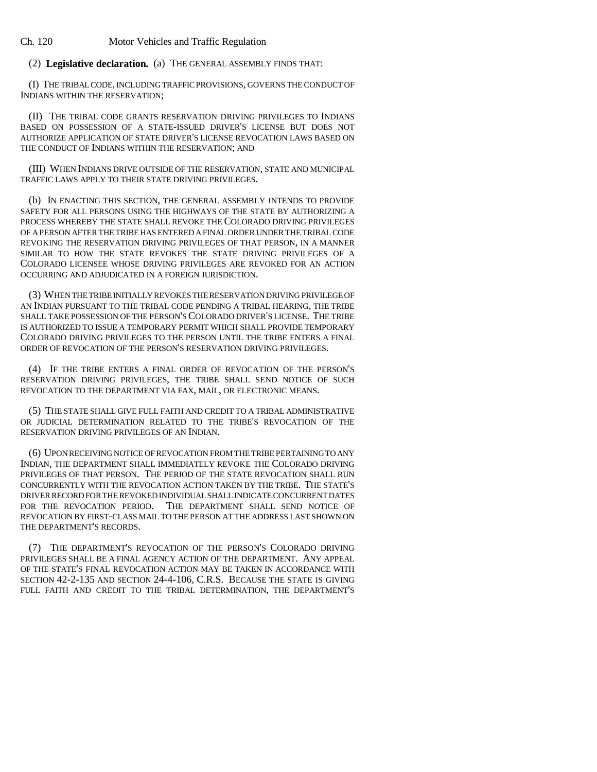Ch. 120 Motor Vehicles and Traffic Regulation

(2) **Legislative declaration.** (a) THE GENERAL ASSEMBLY FINDS THAT:

(I) THE TRIBAL CODE, INCLUDING TRAFFIC PROVISIONS, GOVERNS THE CONDUCT OF INDIANS WITHIN THE RESERVATION;

(II) THE TRIBAL CODE GRANTS RESERVATION DRIVING PRIVILEGES TO INDIANS BASED ON POSSESSION OF A STATE-ISSUED DRIVER'S LICENSE BUT DOES NOT AUTHORIZE APPLICATION OF STATE DRIVER'S LICENSE REVOCATION LAWS BASED ON THE CONDUCT OF INDIANS WITHIN THE RESERVATION; AND

(III) WHEN INDIANS DRIVE OUTSIDE OF THE RESERVATION, STATE AND MUNICIPAL TRAFFIC LAWS APPLY TO THEIR STATE DRIVING PRIVILEGES.

(b) IN ENACTING THIS SECTION, THE GENERAL ASSEMBLY INTENDS TO PROVIDE SAFETY FOR ALL PERSONS USING THE HIGHWAYS OF THE STATE BY AUTHORIZING A PROCESS WHEREBY THE STATE SHALL REVOKE THE COLORADO DRIVING PRIVILEGES OF A PERSON AFTER THE TRIBE HAS ENTERED A FINAL ORDER UNDER THE TRIBAL CODE REVOKING THE RESERVATION DRIVING PRIVILEGES OF THAT PERSON, IN A MANNER SIMILAR TO HOW THE STATE REVOKES THE STATE DRIVING PRIVILEGES OF A COLORADO LICENSEE WHOSE DRIVING PRIVILEGES ARE REVOKED FOR AN ACTION OCCURRING AND ADJUDICATED IN A FOREIGN JURISDICTION.

(3) WHEN THE TRIBE INITIALLY REVOKES THE RESERVATION DRIVING PRIVILEGE OF AN INDIAN PURSUANT TO THE TRIBAL CODE PENDING A TRIBAL HEARING, THE TRIBE SHALL TAKE POSSESSION OF THE PERSON'S COLORADO DRIVER'S LICENSE. THE TRIBE IS AUTHORIZED TO ISSUE A TEMPORARY PERMIT WHICH SHALL PROVIDE TEMPORARY COLORADO DRIVING PRIVILEGES TO THE PERSON UNTIL THE TRIBE ENTERS A FINAL ORDER OF REVOCATION OF THE PERSON'S RESERVATION DRIVING PRIVILEGES.

(4) IF THE TRIBE ENTERS A FINAL ORDER OF REVOCATION OF THE PERSON'S RESERVATION DRIVING PRIVILEGES, THE TRIBE SHALL SEND NOTICE OF SUCH REVOCATION TO THE DEPARTMENT VIA FAX, MAIL, OR ELECTRONIC MEANS.

(5) THE STATE SHALL GIVE FULL FAITH AND CREDIT TO A TRIBAL ADMINISTRATIVE OR JUDICIAL DETERMINATION RELATED TO THE TRIBE'S REVOCATION OF THE RESERVATION DRIVING PRIVILEGES OF AN INDIAN.

(6) UPON RECEIVING NOTICE OF REVOCATION FROM THE TRIBE PERTAINING TO ANY INDIAN, THE DEPARTMENT SHALL IMMEDIATELY REVOKE THE COLORADO DRIVING PRIVILEGES OF THAT PERSON. THE PERIOD OF THE STATE REVOCATION SHALL RUN CONCURRENTLY WITH THE REVOCATION ACTION TAKEN BY THE TRIBE. THE STATE'S DRIVER RECORD FOR THE REVOKED INDIVIDUAL SHALL INDICATE CONCURRENT DATES FOR THE REVOCATION PERIOD. THE DEPARTMENT SHALL SEND NOTICE OF REVOCATION BY FIRST-CLASS MAIL TO THE PERSON AT THE ADDRESS LAST SHOWN ON THE DEPARTMENT'S RECORDS.

(7) THE DEPARTMENT'S REVOCATION OF THE PERSON'S COLORADO DRIVING PRIVILEGES SHALL BE A FINAL AGENCY ACTION OF THE DEPARTMENT. ANY APPEAL OF THE STATE'S FINAL REVOCATION ACTION MAY BE TAKEN IN ACCORDANCE WITH SECTION 42-2-135 AND SECTION 24-4-106, C.R.S. BECAUSE THE STATE IS GIVING FULL FAITH AND CREDIT TO THE TRIBAL DETERMINATION, THE DEPARTMENT'S